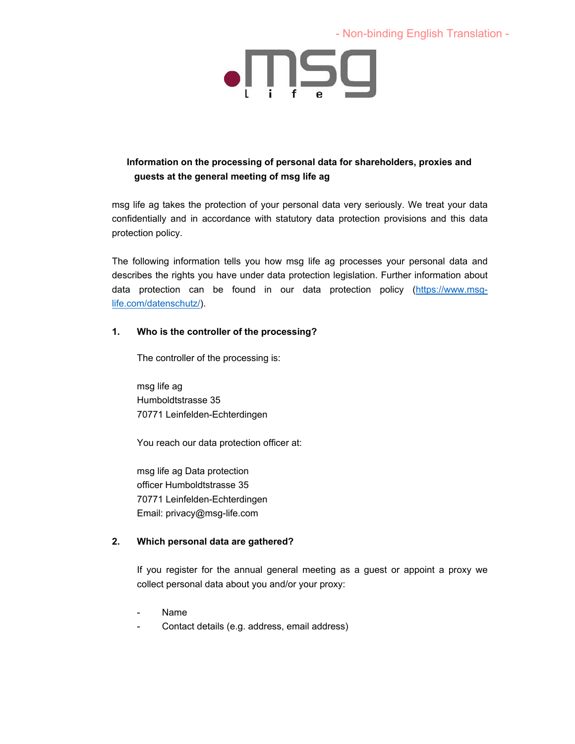- Non-binding English Translation -



# **Information on the processing of personal data for shareholders, proxies and guests at the general meeting of msg life ag**

msg life ag takes the protection of your personal data very seriously. We treat your data confidentially and in accordance with statutory data protection provisions and this data protection policy.

The following information tells you how msg life ag processes your personal data and describes the rights you have under data protection legislation. Further information about data protection can be found in our data protection policy (https://www.msglife.com/datenschutz/).

## **1. Who is the controller of the processing?**

The controller of the processing is:

msg life ag Humboldtstrasse 35 70771 Leinfelden-Echterdingen

You reach our data protection officer at:

msg life ag Data protection officer Humboldtstrasse 35 70771 Leinfelden-Echterdingen Email: privacy@msg-life.com

## **2. Which personal data are gathered?**

If you register for the annual general meeting as a guest or appoint a proxy we collect personal data about you and/or your proxy:

- Name
- Contact details (e.g. address, email address)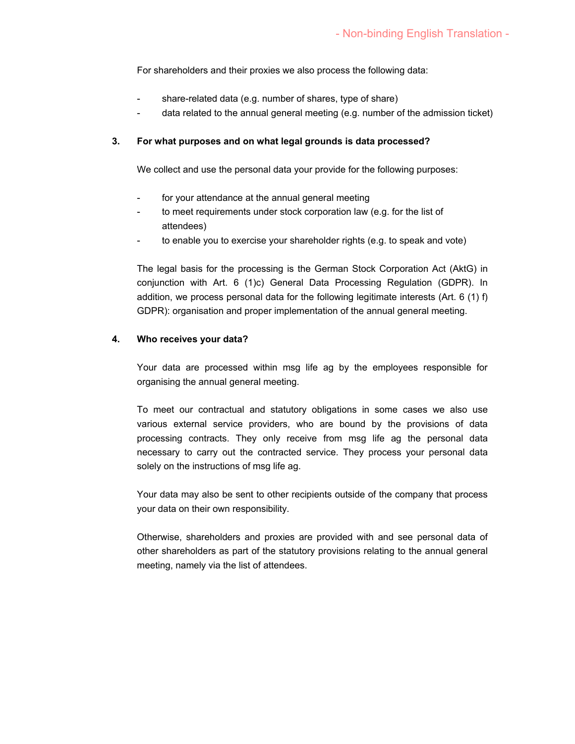For shareholders and their proxies we also process the following data:

- share-related data (e.g. number of shares, type of share)
- data related to the annual general meeting (e.g. number of the admission ticket)

#### **3. For what purposes and on what legal grounds is data processed?**

We collect and use the personal data your provide for the following purposes:

- for your attendance at the annual general meeting
- to meet requirements under stock corporation law (e.g. for the list of attendees)
- to enable you to exercise your shareholder rights (e.g. to speak and vote)

The legal basis for the processing is the German Stock Corporation Act (AktG) in conjunction with Art. 6 (1)c) General Data Processing Regulation (GDPR). In addition, we process personal data for the following legitimate interests (Art. 6 (1) f) GDPR): organisation and proper implementation of the annual general meeting.

#### **4. Who receives your data?**

Your data are processed within msg life ag by the employees responsible for organising the annual general meeting.

To meet our contractual and statutory obligations in some cases we also use various external service providers, who are bound by the provisions of data processing contracts. They only receive from msg life ag the personal data necessary to carry out the contracted service. They process your personal data solely on the instructions of msg life ag.

Your data may also be sent to other recipients outside of the company that process your data on their own responsibility.

Otherwise, shareholders and proxies are provided with and see personal data of other shareholders as part of the statutory provisions relating to the annual general meeting, namely via the list of attendees.